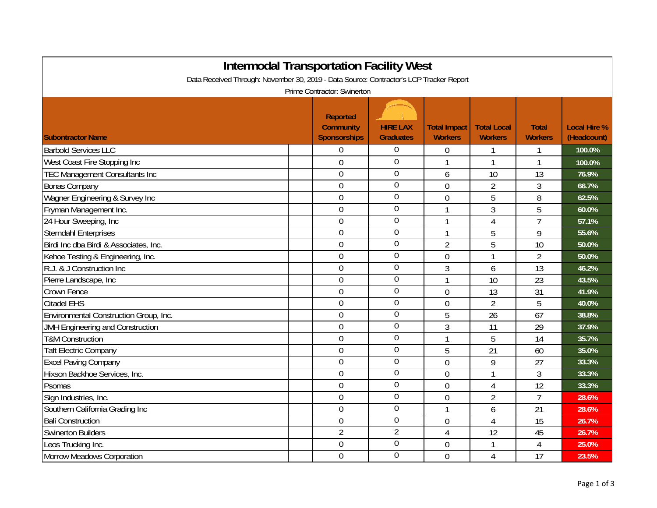| <b>Intermodal Transportation Facility West</b><br>Data Received Through: November 30, 2019 - Data Source: Contractor's LCP Tracker Report<br>Prime Contractor: Swinerton |  |                |                  |                |                |                |        |  |
|--------------------------------------------------------------------------------------------------------------------------------------------------------------------------|--|----------------|------------------|----------------|----------------|----------------|--------|--|
|                                                                                                                                                                          |  |                |                  |                |                |                |        |  |
| <b>Barbold Services LLC</b>                                                                                                                                              |  | 0              | $\Omega$         | 0              | 1              | 1              | 100.0% |  |
| West Coast Fire Stopping Inc                                                                                                                                             |  | 0              | $\mathbf 0$      |                | 1              | 1              | 100.0% |  |
| <b>TEC Management Consultants Inc</b>                                                                                                                                    |  | $\overline{0}$ | $\mathbf 0$      | 6              | 10             | 13             | 76.9%  |  |
| <b>Bonas Company</b>                                                                                                                                                     |  | $\overline{0}$ | $\mathbf 0$      | $\overline{0}$ | $\overline{2}$ | 3              | 66.7%  |  |
| Wagner Engineering & Survey Inc                                                                                                                                          |  | $\overline{0}$ | $\overline{0}$   | $\overline{0}$ | 5              | 8              | 62.5%  |  |
| Fryman Management Inc.                                                                                                                                                   |  | $\overline{0}$ | $\overline{0}$   | $\mathbf{1}$   | 3              | 5              | 60.0%  |  |
| 24 Hour Sweeping, Inc                                                                                                                                                    |  | 0              | $\overline{0}$   | $\mathbf{1}$   | $\overline{4}$ | $\overline{7}$ | 57.1%  |  |
| <b>Sterndahl Enterprises</b>                                                                                                                                             |  | $\overline{0}$ | $\overline{0}$   | $\mathbf{1}$   | 5              | 9              | 55.6%  |  |
| Birdi Inc dba Birdi & Associates, Inc.                                                                                                                                   |  | $\mathbf 0$    | $\mathbf 0$      | $\overline{2}$ | 5              | 10             | 50.0%  |  |
| Kehoe Testing & Engineering, Inc.                                                                                                                                        |  | $\overline{0}$ | $\mathbf 0$      | $\overline{0}$ | 1              | $\overline{2}$ | 50.0%  |  |
| R.J. & J Construction Inc                                                                                                                                                |  | 0              | $\overline{0}$   | 3              | 6              | 13             | 46.2%  |  |
| Pierre Landscape, Inc                                                                                                                                                    |  | 0              | $\overline{0}$   | 1              | 10             | 23             | 43.5%  |  |
| Crown Fence                                                                                                                                                              |  | $\overline{0}$ | $\mathbf 0$      | $\overline{0}$ | 13             | 31             | 41.9%  |  |
| <b>Citadel EHS</b>                                                                                                                                                       |  | 0              | $\overline{0}$   | $\overline{0}$ | $\overline{2}$ | 5              | 40.0%  |  |
| Environmental Construction Group, Inc.                                                                                                                                   |  | $\overline{0}$ | $\overline{0}$   | 5              | 26             | 67             | 38.8%  |  |
| <b>JMH Engineering and Construction</b>                                                                                                                                  |  | $\overline{0}$ | $\boldsymbol{0}$ | 3              | 11             | 29             | 37.9%  |  |
| <b>T&amp;M Construction</b>                                                                                                                                              |  | $\overline{0}$ | $\overline{0}$   | $\mathbf{1}$   | 5              | 14             | 35.7%  |  |
| <b>Taft Electric Company</b>                                                                                                                                             |  | 0              | $\overline{0}$   | 5              | 21             | 60             | 35.0%  |  |
| <b>Excel Paving Company</b>                                                                                                                                              |  | 0              | $\boldsymbol{0}$ | $\mathbf 0$    | 9              | 27             | 33.3%  |  |
| Hixson Backhoe Services, Inc.                                                                                                                                            |  | $\mathbf 0$    | $\overline{0}$   | $\mathbf 0$    | 1              | 3              | 33.3%  |  |
| Psomas                                                                                                                                                                   |  | $\overline{0}$ | $\overline{0}$   | $\mathbf 0$    | $\overline{4}$ | 12             | 33.3%  |  |
| Sign Industries, Inc.                                                                                                                                                    |  | 0              | $\boldsymbol{0}$ | $\overline{0}$ | $\overline{2}$ | $\overline{7}$ | 28.6%  |  |
| Southern California Grading Inc                                                                                                                                          |  | $\overline{0}$ | $\overline{0}$   | 1              | 6              | 21             | 28.6%  |  |
| <b>Bali Construction</b>                                                                                                                                                 |  | 0              | $\overline{0}$   | 0              | 4              | 15             | 26.7%  |  |
| <b>Swinerton Builders</b>                                                                                                                                                |  | $\overline{2}$ | $\overline{2}$   | $\overline{4}$ | 12             | 45             | 26.7%  |  |
| Leos Trucking Inc.                                                                                                                                                       |  | 0              | $\boldsymbol{0}$ | $\overline{0}$ | 1              | 4              | 25.0%  |  |
| <b>Morrow Meadows Corporation</b>                                                                                                                                        |  | $\overline{0}$ | $\overline{0}$   | $\overline{0}$ | 4              | 17             | 23.5%  |  |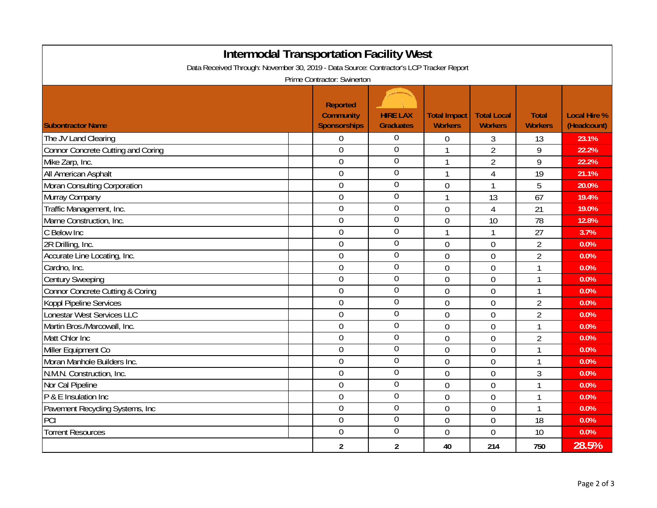| <b>Intermodal Transportation Facility West</b>                                          |                                                            |                                     |                                       |                                      |                                |                                    |  |  |  |
|-----------------------------------------------------------------------------------------|------------------------------------------------------------|-------------------------------------|---------------------------------------|--------------------------------------|--------------------------------|------------------------------------|--|--|--|
| Data Received Through: November 30, 2019 - Data Source: Contractor's LCP Tracker Report |                                                            |                                     |                                       |                                      |                                |                                    |  |  |  |
| Prime Contractor: Swinerton                                                             |                                                            |                                     |                                       |                                      |                                |                                    |  |  |  |
| <b>Subontractor Name</b>                                                                | <b>Reported</b><br><b>Community</b><br><b>Sponsorships</b> | <b>HIRE LAX</b><br><b>Graduates</b> | <b>Total Impact</b><br><b>Workers</b> | <b>Total Local</b><br><b>Workers</b> | <b>Total</b><br><b>Workers</b> | <b>Local Hire %</b><br>(Headcount) |  |  |  |
| The JV Land Clearing                                                                    | $\overline{0}$                                             | $\overline{0}$                      | 0                                     | 3                                    | 13                             | 23.1%                              |  |  |  |
| Connor Concrete Cutting and Coring                                                      | $\overline{0}$                                             | $\overline{0}$                      | 1                                     | $\overline{2}$                       | 9                              | 22.2%                              |  |  |  |
| Mike Zarp, Inc.                                                                         | $\overline{0}$                                             | $\overline{0}$                      | $\mathbf{1}$                          | $\overline{2}$                       | 9                              | 22.2%                              |  |  |  |
| All American Asphalt                                                                    | $\overline{0}$                                             | $\overline{0}$                      | 1                                     | 4                                    | 19                             | 21.1%                              |  |  |  |
| Moran Consulting Corporation                                                            | $\mathbf 0$                                                | $\boldsymbol{0}$                    | $\mathbf 0$                           | 1                                    | 5                              | 20.0%                              |  |  |  |
| Murray Company                                                                          | $\mathbf 0$                                                | $\boldsymbol{0}$                    | $\mathbf{1}$                          | 13                                   | 67                             | 19.4%                              |  |  |  |
| Traffic Management, Inc.                                                                | $\mathbf 0$                                                | $\overline{0}$                      | $\overline{0}$                        | $\overline{4}$                       | 21                             | 19.0%                              |  |  |  |
| Marne Construction, Inc.                                                                | $\mathbf 0$                                                | $\boldsymbol{0}$                    | $\overline{0}$                        | 10                                   | 78                             | 12.8%                              |  |  |  |
| C Below Inc                                                                             | $\mathbf 0$                                                | $\overline{0}$                      | $\mathbf{1}$                          | 1                                    | 27                             | 3.7%                               |  |  |  |
| 2R Drilling, Inc.                                                                       | $\mathbf 0$                                                | $\boldsymbol{0}$                    | $\overline{0}$                        | $\overline{0}$                       | $\overline{2}$                 | 0.0%                               |  |  |  |
| Accurate Line Locating, Inc.                                                            | $\mathbf 0$                                                | $\overline{0}$                      | $\overline{0}$                        | $\overline{0}$                       | $\overline{2}$                 | 0.0%                               |  |  |  |
| Cardno, Inc.                                                                            | $\mathbf 0$                                                | $\overline{0}$                      | $\overline{0}$                        | $\overline{0}$                       | $\mathbf{1}$                   | 0.0%                               |  |  |  |
| <b>Century Sweeping</b>                                                                 | $\overline{0}$                                             | $\overline{0}$                      | $\overline{0}$                        | $\overline{0}$                       | $\mathbf{1}$                   | 0.0%                               |  |  |  |
| Connor Concrete Cutting & Coring                                                        | $\overline{0}$                                             | $\overline{0}$                      | $\overline{0}$                        | $\overline{0}$                       | 1                              | 0.0%                               |  |  |  |
| Koppl Pipeline Services                                                                 | $\overline{0}$                                             | $\overline{0}$                      | $\mathbf 0$                           | $\overline{0}$                       | $\overline{2}$                 | 0.0%                               |  |  |  |
| Lonestar West Services LLC                                                              | $\mathbf 0$                                                | $\overline{0}$                      | $\overline{0}$                        | $\mathbf 0$                          | $\overline{2}$                 | 0.0%                               |  |  |  |
| Martin Bros./Marcowall, Inc.                                                            | $\mathbf 0$                                                | $\boldsymbol{0}$                    | 0                                     | $\mathbf 0$                          | 1                              | 0.0%                               |  |  |  |
| Matt Chlor Inc                                                                          | $\mathbf 0$                                                | $\boldsymbol{0}$                    | $\overline{0}$                        | $\overline{0}$                       | $\overline{2}$                 | 0.0%                               |  |  |  |
| Miller Equipment Co                                                                     | $\mathbf 0$                                                | $\mathbf 0$                         | $\overline{0}$                        | $\overline{0}$                       | 1                              | 0.0%                               |  |  |  |
| Moran Manhole Builders Inc.                                                             | $\mathbf 0$                                                | $\boldsymbol{0}$                    | $\overline{0}$                        | $\overline{0}$                       | 1                              | 0.0%                               |  |  |  |
| N.M.N. Construction, Inc.                                                               | $\mathbf 0$                                                | $\overline{0}$                      | $\overline{0}$                        | $\overline{0}$                       | 3                              | 0.0%                               |  |  |  |
| Nor Cal Pipeline                                                                        | $\mathbf 0$                                                | $\overline{0}$                      | $\overline{0}$                        | $\overline{0}$                       | $\mathbf{1}$                   | 0.0%                               |  |  |  |
| P & E Insulation Inc                                                                    | $\mathbf 0$                                                | $\boldsymbol{0}$                    | $\overline{0}$                        | $\overline{0}$                       | 1                              | 0.0%                               |  |  |  |
| Pavement Recycling Systems, Inc                                                         | $\overline{0}$                                             | $\overline{0}$                      | $\overline{0}$                        | $\overline{0}$                       | 1                              | 0.0%                               |  |  |  |
| PCI                                                                                     | $\overline{0}$                                             | $\overline{0}$                      | $\overline{0}$                        | $\overline{0}$                       | 18                             | 0.0%                               |  |  |  |
| <b>Torrent Resources</b>                                                                | $\theta$                                                   | $\boldsymbol{0}$                    | $\overline{0}$                        | $\overline{0}$                       | 10                             | 0.0%                               |  |  |  |
|                                                                                         | $\overline{2}$                                             | $\overline{2}$                      | 40                                    | 214                                  | 750                            | 28.5%                              |  |  |  |

Page 2 of 3